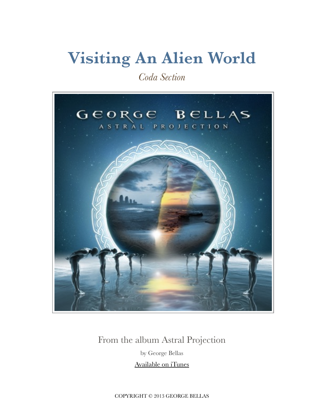### **Visiting An Alien World**

*Coda Section*



#### From the album Astral Projection by George Bellas

[Available on iTunes](https://itunes.apple.com/us/album/astral-projection/id646714673)

COPYRIGHT © 2013 GEORGE BELLAS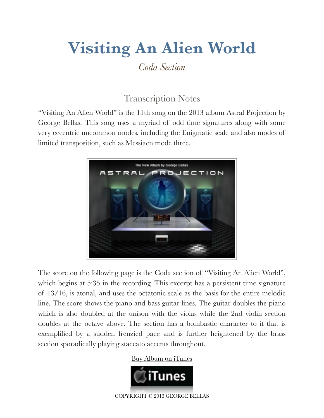# **Visiting An Alien World**

### *Coda Section*

### Transcription Notes

"Visiting An Alien World" is the 11th song on the 2013 album Astral Projection by George Bellas. This song uses a myriad of odd time signatures along with some very eccentric uncommon modes, including the Enigmatic scale and also modes of limited transposition, such as Messiaen mode three.

![](_page_1_Picture_4.jpeg)

The score on the following page is the Coda section of "Visiting An Alien World", which begins at 5:35 in the recording. This excerpt has a persistent time signature of 13/16, is atonal, and uses the octatonic scale as the basis for the entire melodic line. The score shows the piano and bass guitar lines. The guitar doubles the piano which is also doubled at the unison with the violas while the 2nd violin section doubles at the octave above. The section has a bombastic character to it that is exemplified by a sudden frenzied pace and is further heightened by the brass section sporadically playing staccato accents throughout.

#### [Buy Album on iTunes](https://itunes.apple.com/us/album/astral-projection/id646714673)

![](_page_1_Picture_7.jpeg)

COPYRIGHT © 2013 GEORGE BELLAS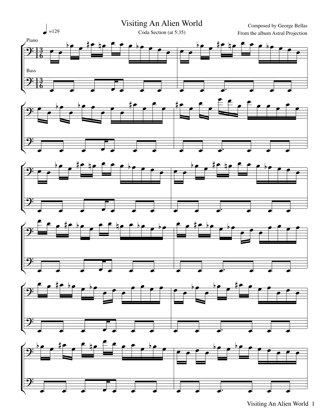![](_page_2_Figure_0.jpeg)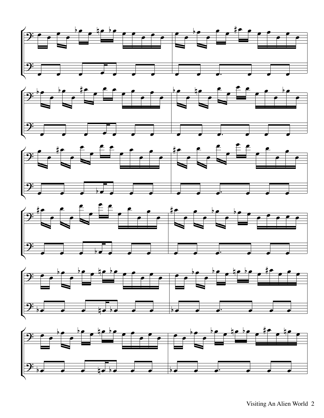![](_page_3_Figure_0.jpeg)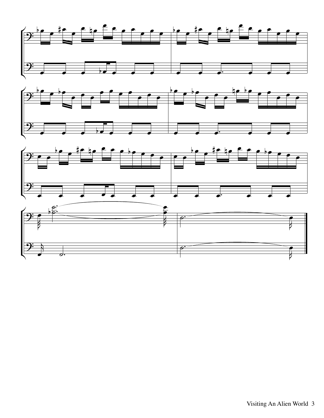![](_page_4_Figure_0.jpeg)

![](_page_4_Figure_1.jpeg)

![](_page_4_Figure_2.jpeg)

![](_page_4_Figure_3.jpeg)